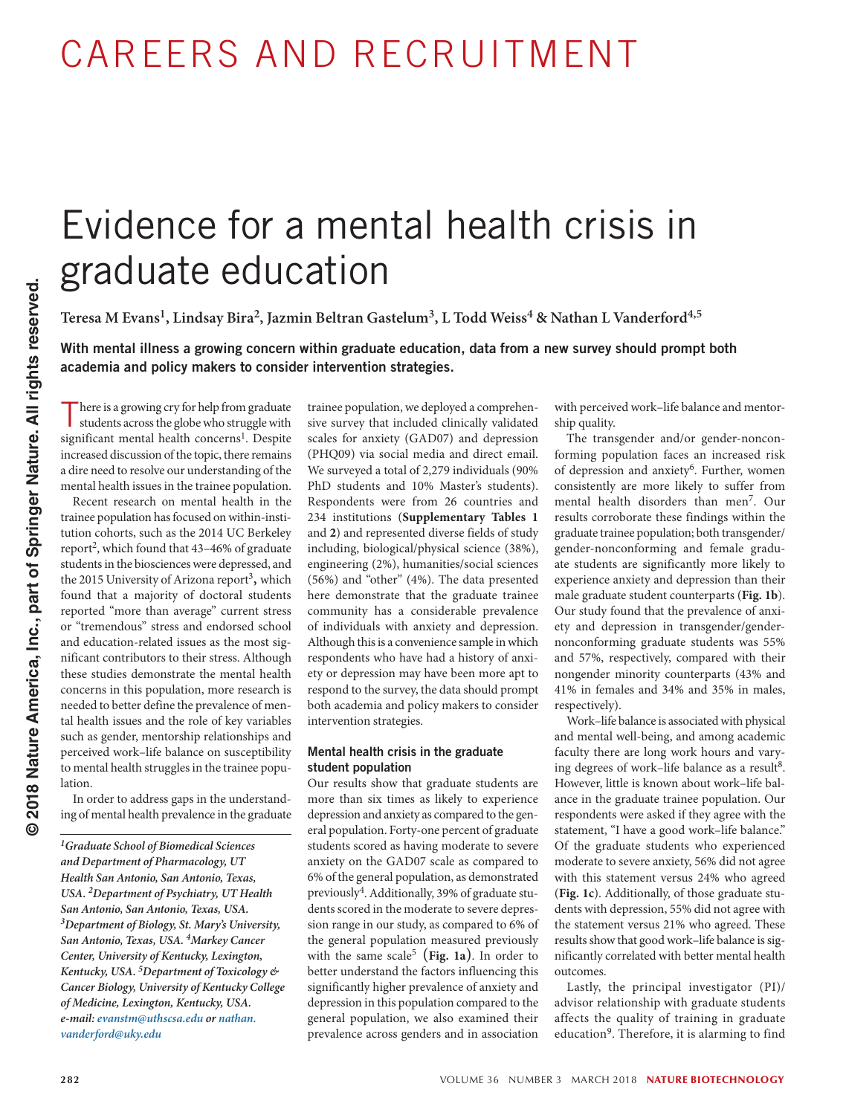# CAREERS AND RECRUITMENT

# Evidence for a mental health crisis in graduate education

**Teresa M Evans1, Lindsay Bira2, Jazmin Beltran Gastelum3, L Todd Weiss4 & Nathan L Vanderford4,5**

With mental illness a growing concern within graduate education, data from a new survey should prompt both academia and policy makers to consider intervention strategies.

There is a growing cry for help from graduate students across the globe who struggle with significant mental health concerns<sup>1</sup>. Despite increased discussion of the topic, there remains a dire need to resolve our understanding of the mental health issues in the trainee population.

Recent research on mental health in the trainee population has focused on within-institution cohorts, such as the 2014 UC Berkeley report2, which found that 43–46% of graduate students in the biosciences were depressed, and the 2015 University of Arizona report<sup>3</sup>, which found that a majority of doctoral students reported "more than average" current stress or "tremendous" stress and endorsed school and education-related issues as the most significant contributors to their stress. Although these studies demonstrate the mental health concerns in this population, more research is needed to better define the prevalence of mental health issues and the role of key variables such as gender, mentorship relationships and perceived work–life balance on susceptibility to mental health struggles in the trainee population.

In order to address gaps in the understanding of mental health prevalence in the graduate

*1Graduate School of Biomedical Sciences and Department of Pharmacology, UT Health San Antonio, San Antonio, Texas, USA. 2Department of Psychiatry, UT Health San Antonio, San Antonio, Texas, USA. 3Department of Biology, St. Mary's University, San Antonio, Texas, USA. 4Markey Cancer Center, University of Kentucky, Lexington, Kentucky, USA. 5Department of Toxicology & Cancer Biology, University of Kentucky College of Medicine, Lexington, Kentucky, USA. e-mail: [evanstm@uthscsa.edu](mailto:evanstm@uthscsa.edu) or [nathan.](mailto:nathan.vanderford@uky.edu) [vanderford@uky.edu](mailto:nathan.vanderford@uky.edu)*

trainee population, we deployed a comprehensive survey that included clinically validated scales for anxiety (GAD07) and depression (PHQ09) via social media and direct email. We surveyed a total of 2,279 individuals (90% PhD students and 10% Master's students). Respondents were from 26 countries and 234 institutions (**Supplementary Tables 1** and **2**) and represented diverse fields of study including, biological/physical science (38%), engineering (2%), humanities/social sciences (56%) and "other" (4%). The data presented here demonstrate that the graduate trainee community has a considerable prevalence of individuals with anxiety and depression. Although this is a convenience sample in which respondents who have had a history of anxiety or depression may have been more apt to respond to the survey, the data should prompt both academia and policy makers to consider intervention strategies.

### Mental health crisis in the graduate student population

Our results show that graduate students are more than six times as likely to experience depression and anxiety as compared to the general population. Forty-one percent of graduate students scored as having moderate to severe anxiety on the GAD07 scale as compared to 6% of the general population, as demonstrated previously4. Additionally, 39% of graduate students scored in the moderate to severe depression range in our study, as compared to 6% of the general population measured previously with the same scale<sup>5</sup> (Fig. 1a). In order to better understand the factors influencing this significantly higher prevalence of anxiety and depression in this population compared to the general population, we also examined their prevalence across genders and in association

with perceived work–life balance and mentorship quality.

The transgender and/or gender-nonconforming population faces an increased risk of depression and anxiety<sup>6</sup>. Further, women consistently are more likely to suffer from mental health disorders than men<sup>7</sup>. Our results corroborate these findings within the graduate trainee population; both transgender/ gender-nonconforming and female graduate students are significantly more likely to experience anxiety and depression than their male graduate student counterparts (**Fig. 1b**). Our study found that the prevalence of anxiety and depression in transgender/gendernonconforming graduate students was 55% and 57%, respectively, compared with their nongender minority counterparts (43% and 41% in females and 34% and 35% in males, respectively).

Work–life balance is associated with physical and mental well-being, and among academic faculty there are long work hours and varying degrees of work–life balance as a result<sup>8</sup>. However, little is known about work–life balance in the graduate trainee population. Our respondents were asked if they agree with the statement, "I have a good work–life balance." Of the graduate students who experienced moderate to severe anxiety, 56% did not agree with this statement versus 24% who agreed (**Fig. 1c**). Additionally, of those graduate students with depression, 55% did not agree with the statement versus 21% who agreed. These results showthat good work–life balance is significantly correlated with better mental health outcomes.

Lastly, the principal investigator (PI)/ advisor relationship with graduate students affects the quality of training in graduate education<sup>9</sup>. Therefore, it is alarming to find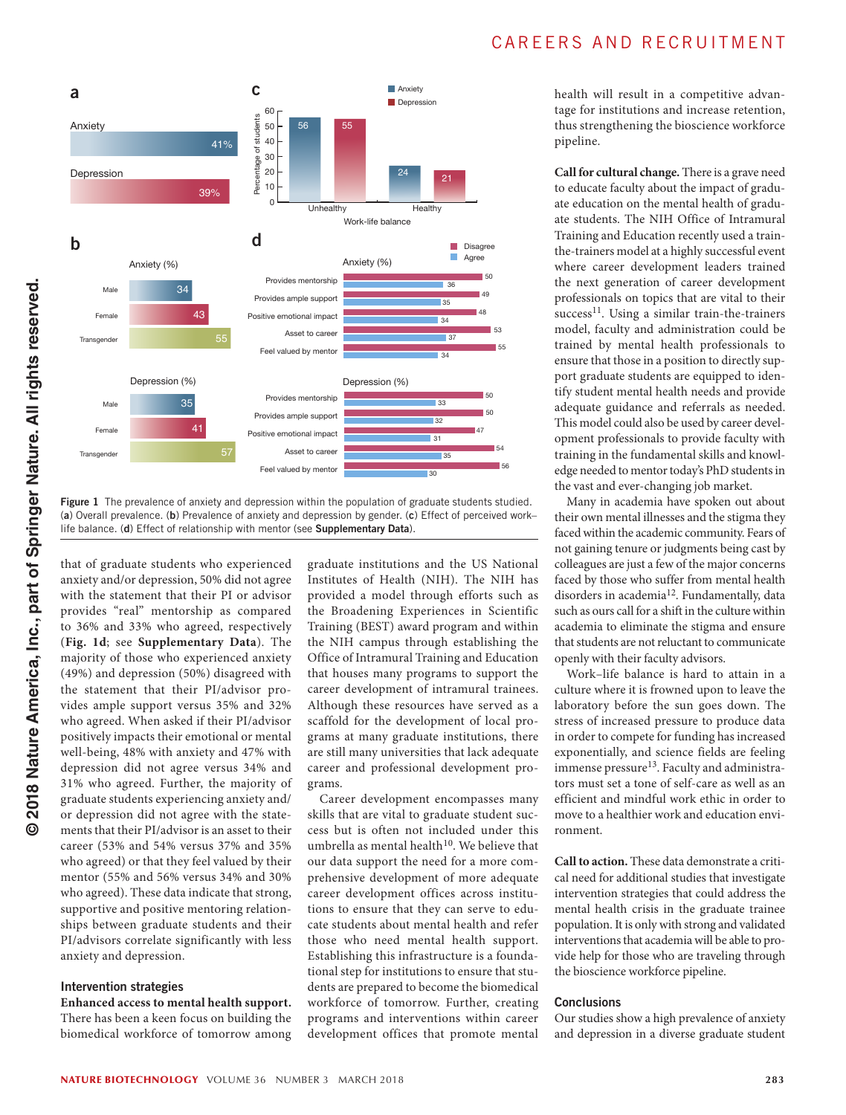## CAREERS AND RECRUITMENT



Figure 1 The prevalence of anxiety and depression within the population of graduate students studied. (a) Overall prevalence. (b) Prevalence of anxiety and depression by gender. (c) Effect of perceived work– life balance. (d) Effect of relationship with mentor (see Supplementary Data).

that of graduate students who experienced anxiety and/or depression, 50% did not agree with the statement that their PI or advisor provides "real" mentorship as compared to 36% and 33% who agreed, respectively (**Fig. 1d**; see **Supplementary Data**). The majority of those who experienced anxiety (49%) and depression (50%) disagreed with the statement that their PI/advisor provides ample support versus 35% and 32% who agreed. When asked if their PI/advisor positively impacts their emotional or mental well-being, 48% with anxiety and 47% with depression did not agree versus 34% and 31% who agreed. Further, the majority of graduate students experiencing anxiety and/ or depression did not agree with the statements that their PI/advisor is an asset to their career (53% and 54% versus 37% and 35% who agreed) or that they feel valued by their mentor (55% and 56% versus 34% and 30% who agreed). These data indicate that strong, supportive and positive mentoring relationships between graduate students and their PI/advisors correlate significantly with less anxiety and depression.

### Intervention strategies

**Enhanced access to mental health support.**  There has been a keen focus on building the biomedical workforce of tomorrow among

graduate institutions and the US National Institutes of Health (NIH). The NIH has provided a model through efforts such as the Broadening Experiences in Scientific Training (BEST) award program and within the NIH campus through establishing the Office of Intramural Training and Education that houses many programs to support the career development of intramural trainees. Although these resources have served as a scaffold for the development of local programs at many graduate institutions, there are still many universities that lack adequate career and professional development programs.

Career development encompasses many skills that are vital to graduate student success but is often not included under this umbrella as mental health $10$ . We believe that our data support the need for a more comprehensive development of more adequate career development offices across institutions to ensure that they can serve to educate students about mental health and refer those who need mental health support. Establishing this infrastructure is a foundational step for institutions to ensure that students are prepared to become the biomedical workforce of tomorrow. Further, creating programs and interventions within career development offices that promote mental

health will result in a competitive advantage for institutions and increase retention, thus strengthening the bioscience workforce pipeline.

**Call for cultural change.** There is a grave need to educate faculty about the impact of graduate education on the mental health of graduate students. The NIH Office of Intramural Training and Education recently used a trainthe-trainers model at a highly successful event where career development leaders trained the next generation of career development professionals on topics that are vital to their success<sup>11</sup>. Using a similar train-the-trainers model, faculty and administration could be trained by mental health professionals to ensure that those in a position to directly support graduate students are equipped to identify student mental health needs and provide adequate guidance and referrals as needed. This model could also be used by career development professionals to provide faculty with training in the fundamental skills and knowledge needed to mentor today's PhD students in the vast and ever-changing job market.

Many in academia have spoken out about their own mental illnesses and the stigma they faced within the academic community. Fears of not gaining tenure or judgments being cast by colleagues are just a few of the major concerns faced by those who suffer from mental health disorders in academia<sup>12</sup>. Fundamentally, data such as ours call for a shift in the culture within academia to eliminate the stigma and ensure that students are not reluctant to communicate openly with their faculty advisors.

Work–life balance is hard to attain in a culture where it is frowned upon to leave the laboratory before the sun goes down. The stress of increased pressure to produce data in order to compete for funding has increased exponentially, and science fields are feeling immense pressure<sup>13</sup>. Faculty and administrators must set a tone of self-care as well as an efficient and mindful work ethic in order to move to a healthier work and education environment.

**Call to action.** These data demonstrate a critical need for additional studies that investigate intervention strategies that could address the mental health crisis in the graduate trainee population. It is only with strong and validated interventions that academia will be able to provide help for those who are traveling through the bioscience workforce pipeline.

#### **Conclusions**

Our studies show a high prevalence of anxiety and depression in a diverse graduate student